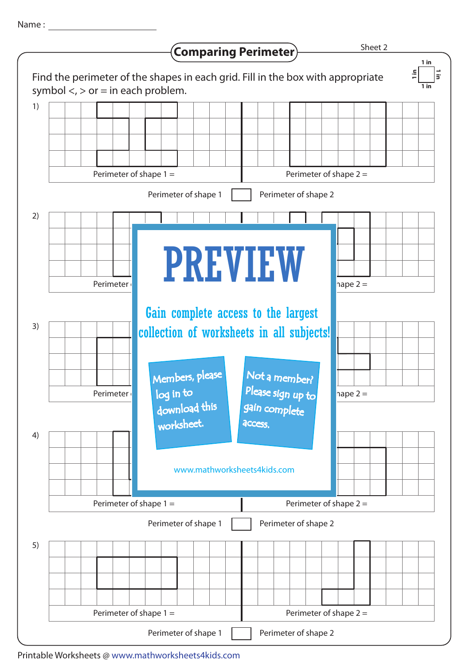Name :



Printable Worksheets @ www.mathworksheets4kids.com